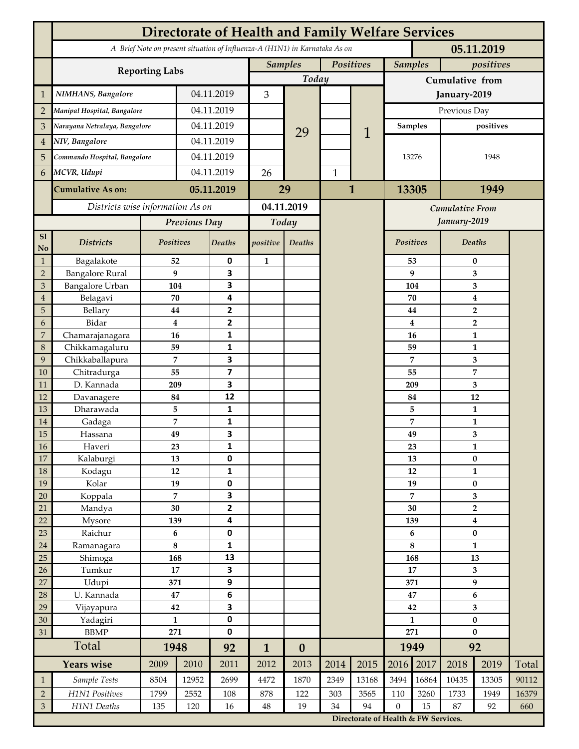|                | <b>Directorate of Health and Family Welfare Services</b>                                 |                  |            |                         |                |                  |              |                        |                                                                                   |              |                                  |              |       |  |
|----------------|------------------------------------------------------------------------------------------|------------------|------------|-------------------------|----------------|------------------|--------------|------------------------|-----------------------------------------------------------------------------------|--------------|----------------------------------|--------------|-------|--|
|                | A Brief Note on present situation of Influenza-A (H1N1) in Karnataka As on<br>05.11.2019 |                  |            |                         |                |                  |              |                        |                                                                                   |              |                                  |              |       |  |
|                | <b>Reporting Labs</b>                                                                    |                  |            |                         | <b>Samples</b> |                  | Positives    |                        | <b>Samples</b>                                                                    |              | positives                        |              |       |  |
|                |                                                                                          |                  |            |                         | Today          |                  |              |                        | Cumulative from                                                                   |              |                                  |              |       |  |
| $\mathbf{1}$   | NIMHANS, Bangalore                                                                       | 04.11.2019       |            | 3                       |                |                  |              | January-2019           |                                                                                   |              |                                  |              |       |  |
| $\overline{2}$ | Manipal Hospital, Bangalore                                                              |                  | 04.11.2019 |                         |                |                  |              |                        | Previous Day                                                                      |              |                                  |              |       |  |
| 3              | Narayana Netralaya, Bangalore                                                            |                  |            | 04.11.2019              |                |                  |              |                        | Samples                                                                           |              | positives                        |              |       |  |
| $\overline{4}$ | NIV, Bangalore                                                                           |                  | 04.11.2019 |                         |                | 29               |              | 1                      |                                                                                   |              |                                  |              |       |  |
| 5              | Commando Hospital, Bangalore                                                             |                  | 04.11.2019 |                         |                |                  |              |                        | 13276                                                                             |              | 1948                             |              |       |  |
| 6              | MCVR, Udupi                                                                              |                  | 04.11.2019 |                         | 26             |                  | $\mathbf{1}$ |                        |                                                                                   |              |                                  |              |       |  |
|                | <b>Cumulative As on:</b>                                                                 |                  |            | 05.11.2019              |                |                  | $\mathbf{1}$ |                        | 13305                                                                             |              | 1949                             |              |       |  |
|                |                                                                                          |                  |            |                         | 29             |                  |              |                        |                                                                                   |              |                                  |              |       |  |
|                | Districts wise information As on                                                         |                  |            | 04.11.2019              |                |                  |              | <b>Cumulative From</b> |                                                                                   |              |                                  |              |       |  |
|                |                                                                                          | Previous Day     |            | Today                   |                |                  |              |                        |                                                                                   | January-2019 |                                  |              |       |  |
| S1<br>No       | <b>Districts</b>                                                                         | Positives        |            | Deaths                  | positive       | Deaths           |              |                        | Positives                                                                         |              |                                  | Deaths       |       |  |
| $\mathbf{1}$   | Bagalakote                                                                               | 52               |            | 0                       | $\mathbf{1}$   |                  |              |                        |                                                                                   | 53           | $\bf{0}$                         |              |       |  |
| $\overline{2}$ | <b>Bangalore Rural</b>                                                                   | 9                |            | 3                       |                |                  |              |                        |                                                                                   | 9            | 3                                |              |       |  |
| 3              | Bangalore Urban                                                                          | 104              |            | 3                       |                |                  |              |                        |                                                                                   | 104          | 3                                |              |       |  |
| $\overline{4}$ | Belagavi                                                                                 | 70               |            | 4<br>2                  |                |                  |              |                        |                                                                                   | 70           | $\boldsymbol{4}$                 |              |       |  |
| 5<br>6         | Bellary<br>Bidar                                                                         | 44<br>$\bf{4}$   |            | $\mathbf{2}$            |                |                  |              |                        |                                                                                   | 44<br>4      | $\overline{2}$<br>$\overline{2}$ |              |       |  |
| 7              | Chamarajanagara                                                                          | 16               |            | 1                       |                |                  |              |                        |                                                                                   | 16           | 1                                |              |       |  |
| 8              | Chikkamagaluru                                                                           | 59               |            | 1                       |                |                  |              |                        |                                                                                   | 59           |                                  | 1            |       |  |
| 9              | Chikkaballapura                                                                          | 7                |            | 3                       |                |                  |              |                        |                                                                                   | 7            |                                  | 3            |       |  |
| 10             | Chitradurga                                                                              | 55               |            | $\overline{\mathbf{z}}$ |                |                  |              |                        |                                                                                   | 55           |                                  | 7            |       |  |
| 11             | D. Kannada                                                                               | 209              |            | 3                       |                |                  |              |                        |                                                                                   | 209          |                                  | 3            |       |  |
| 12             | Davanagere                                                                               | 84               |            | 12                      |                |                  |              |                        |                                                                                   | 84           | 12                               |              |       |  |
| 13             | Dharawada                                                                                | 5                |            | $\mathbf{1}$            |                |                  |              |                        |                                                                                   | 5            |                                  | $\mathbf{1}$ |       |  |
| 14<br>15       | Gadaga                                                                                   | 7<br>49          |            | 1<br>3                  |                |                  |              |                        |                                                                                   | 7<br>49      |                                  | 1<br>3       |       |  |
| <b>16</b>      | Hassana<br>Haveri                                                                        | 23               |            | 1                       |                |                  |              |                        |                                                                                   | 23           | 1                                |              |       |  |
| 17             | Kalaburgi                                                                                | 13               |            | 0                       |                |                  |              |                        |                                                                                   | 13           |                                  | $\pmb{0}$    |       |  |
| 18             | Kodagu                                                                                   | 12               |            | $\mathbf{1}$            |                |                  |              |                        |                                                                                   | 12           |                                  | $\mathbf{1}$ |       |  |
| 19             | Kolar                                                                                    | 19               |            | 0                       |                |                  |              |                        |                                                                                   | 19           |                                  | $\pmb{0}$    |       |  |
| 20             | Koppala                                                                                  | $\overline{7}$   |            | 3                       |                |                  |              |                        |                                                                                   | 7            |                                  | 3            |       |  |
| 21             | Mandya                                                                                   | $30\,$           |            | $\mathbf{2}$            |                |                  |              |                        | 30                                                                                |              |                                  | $\mathbf 2$  |       |  |
| 22             | Mysore                                                                                   | 139              |            | 4                       |                |                  |              |                        |                                                                                   | 139          | $\boldsymbol{4}$                 |              |       |  |
| 23<br>$24\,$   | Raichur<br>Ramanagara                                                                    | $\bf 6$<br>8     |            | $\pmb{0}$<br>1          |                |                  |              |                        |                                                                                   | 6<br>8       | $\pmb{0}$<br>$\mathbf{1}$        |              |       |  |
| 25             | Shimoga                                                                                  | 168              |            | 13                      |                |                  |              |                        |                                                                                   | 168          | 13                               |              |       |  |
| 26             | Tumkur                                                                                   | 17               |            | 3                       |                |                  |              |                        | 17                                                                                |              | 3                                |              |       |  |
| 27             | Udupi                                                                                    | 371              |            | 9                       |                |                  |              |                        | 371                                                                               |              | 9                                |              |       |  |
| 28             | U. Kannada                                                                               | $\bf 47$         |            | $\bf 6$                 |                |                  |              |                        | 47                                                                                |              | $\bf 6$                          |              |       |  |
| 29             | Vijayapura                                                                               | 42               |            | 3                       |                |                  |              |                        | 42                                                                                |              | $\overline{\mathbf{3}}$          |              |       |  |
| 30             | Yadagiri                                                                                 | $\mathbf{1}$     |            | 0                       |                |                  |              |                        | $\mathbf{1}$                                                                      |              | $\pmb{0}$                        |              |       |  |
| 31             | <b>BBMP</b>                                                                              | 271              |            | 0                       |                |                  |              |                        | 271                                                                               |              | $\bf{0}$                         |              |       |  |
|                | Total                                                                                    | 1948             |            | 92                      | $\mathbf{1}$   | $\boldsymbol{0}$ |              |                        |                                                                                   | 1949         | 92                               |              |       |  |
|                | <b>Years wise</b>                                                                        | 2009             | 2010       | 2011                    | 2012           | 2013             | 2014         | 2015                   | 2016                                                                              | 2017         | 2018                             | 2019         | Total |  |
| $\mathbf{1}$   | Sample Tests                                                                             | 8504             | 12952      | 2699                    | 4472           | 1870             | 2349         | 13168                  | 3494                                                                              | 16864        | 10435                            | 13305        | 90112 |  |
| $\overline{2}$ | H1N1 Positives                                                                           | 1799             | 2552       | 108                     | 878<br>$48\,$  | 122<br>19        | 303          | 3565                   | 110                                                                               | 3260         | 1733                             | 1949         | 16379 |  |
| $\mathfrak{Z}$ | H1N1 Deaths                                                                              | 135<br>120<br>16 |            |                         |                |                  | 34           | 94                     | $\boldsymbol{0}$<br>15<br>87<br>92<br>660<br>Directorate of Health & FW Services. |              |                                  |              |       |  |